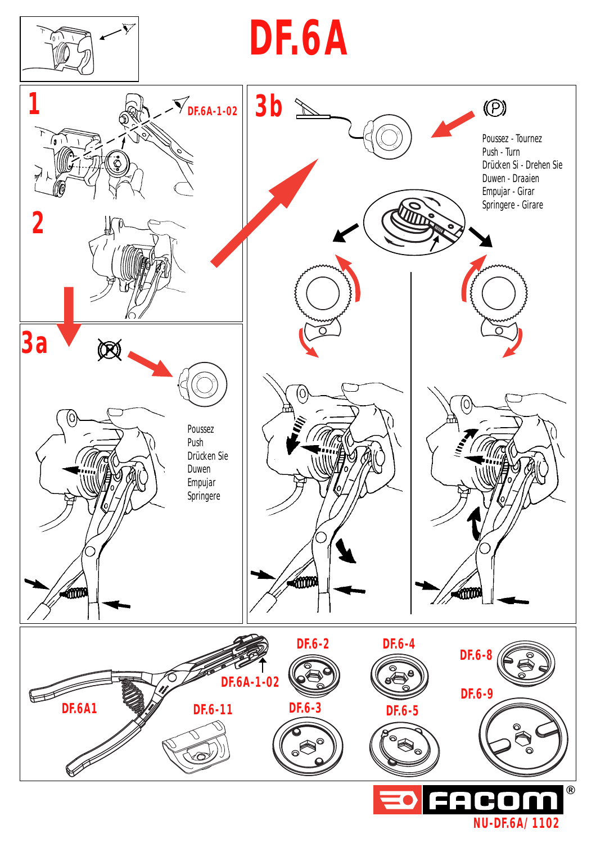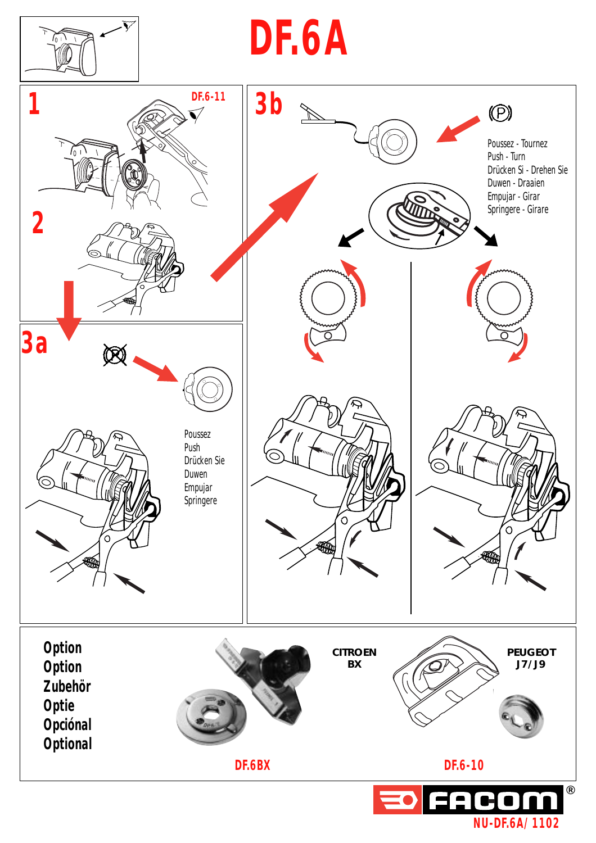

## **DF.6A**